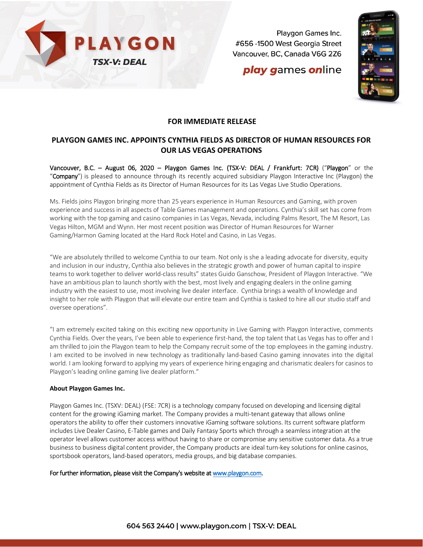

Playgon Games Inc. #656 -1500 West Georgia Street Vancouver, BC, Canada V6G 2Z6

## **play games online**



### **FOR IMMEDIATE RELEASE**

## **PLAYGON GAMES INC. APPOINTS CYNTHIA FIELDS AS DIRECTOR OF HUMAN RESOURCES FOR OUR LAS VEGAS OPERATIONS**

Vancouver, B.C. – August 06, 2020 – Playgon Games Inc. (TSX-V: DEAL / Frankfurt: 7CR) ("Playgon" or the "Company") is pleased to announce through its recently acquired subsidiary Playgon Interactive Inc (Playgon) the appointment of Cynthia Fields as its Director of Human Resources for its Las Vegas Live Studio Operations.

Ms. Fields joins Playgon bringing more than 25 years experience in Human Resources and Gaming, with proven experience and success in all aspects of Table Games management and operations. Cynthia's skill set has come from working with the top gaming and casino companies in Las Vegas, Nevada, including Palms Resort, The M Resort, Las Vegas Hilton, MGM and Wynn. Her most recent position was Director of Human Resources for Warner Gaming/Harmon Gaming located at the Hard Rock Hotel and Casino, in Las Vegas.

"We are absolutely thrilled to welcome Cynthia to our team. Not only is she a leading advocate for diversity, equity and inclusion in our industry, Cynthia also believes in the strategic growth and power of human capital to inspire teams to work together to deliver world-class results" states Guido Ganschow, President of Playgon Interactive. "We have an ambitious plan to launch shortly with the best, most lively and engaging dealers in the online gaming industry with the easiest to use, most involving live dealer interface. Cynthia brings a wealth of knowledge and insight to her role with Playgon that will elevate our entire team and Cynthia is tasked to hire all our studio staff and oversee operations".

"I am extremely excited taking on this exciting new opportunity in Live Gaming with Playgon Interactive, comments Cynthia Fields. Over the years, I've been able to experience first-hand, the top talent that Las Vegas has to offer and I am thrilled to join the Playgon team to help the Company recruit some of the top employees in the gaming industry. I am excited to be involved in new technology as traditionally land-based Casino gaming innovates into the digital world. I am looking forward to applying my years of experience hiring engaging and charismatic dealers for casinos to Playgon's leading online gaming live dealer platform."

#### **About Playgon Games Inc.**

Playgon Games Inc. (TSXV: DEAL) (FSE: 7CR) is a technology company focused on developing and licensing digital content for the growing iGaming market. The Company provides a multi-tenant gateway that allows online operators the ability to offer their customers innovative iGaming software solutions. Its current software platform includes Live Dealer Casino, E-Table games and Daily Fantasy Sports which through a seamless integration at the operator level allows customer access without having to share or compromise any sensitive customer data. As a true business to business digital content provider, the Company products are ideal turn-key solutions for online casinos, sportsbook operators, land-based operators, media groups, and big database companies.

#### For further information, please visit the Company's website a[t www.playgon.com.](http://www.playgon.com/)